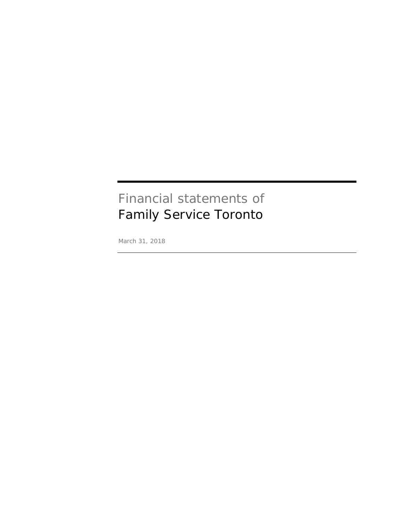## Financial statements of Family Service Toronto

March 31, 2018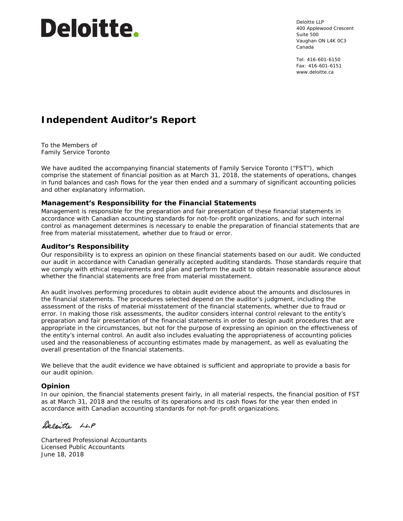# **Deloitte.**

Deloitte LLP 400 Applewood Crescent Suite 500 Vaughan ON L4K 0C3 Canada

Tel: 416-601-6150 Fax: 416-601-6151 www.deloitte.ca

### **Independent Auditor's Report**

To the Members of Family Service Toronto

We have audited the accompanying financial statements of Family Service Toronto ("FST"), which comprise the statement of financial position as at March 31, 2018, the statements of operations, changes in fund balances and cash flows for the year then ended and a summary of significant accounting policies and other explanatory information.

#### **Management's Responsibility for the Financial Statements**

Management is responsible for the preparation and fair presentation of these financial statements in accordance with Canadian accounting standards for not-for-profit organizations, and for such internal control as management determines is necessary to enable the preparation of financial statements that are free from material misstatement, whether due to fraud or error.

#### **Auditor's Responsibility**

Our responsibility is to express an opinion on these financial statements based on our audit. We conducted our audit in accordance with Canadian generally accepted auditing standards. Those standards require that we comply with ethical requirements and plan and perform the audit to obtain reasonable assurance about whether the financial statements are free from material misstatement.

An audit involves performing procedures to obtain audit evidence about the amounts and disclosures in the financial statements. The procedures selected depend on the auditor's judgment, including the assessment of the risks of material misstatement of the financial statements, whether due to fraud or error. In making those risk assessments, the auditor considers internal control relevant to the entity's preparation and fair presentation of the financial statements in order to design audit procedures that are appropriate in the circumstances, but not for the purpose of expressing an opinion on the effectiveness of the entity's internal control. An audit also includes evaluating the appropriateness of accounting policies used and the reasonableness of accounting estimates made by management, as well as evaluating the overall presentation of the financial statements.

We believe that the audit evidence we have obtained is sufficient and appropriate to provide a basis for our audit opinion.

#### **Opinion**

In our opinion, the financial statements present fairly, in all material respects, the financial position of FST as at March 31, 2018 and the results of its operations and its cash flows for the year then ended in accordance with Canadian accounting standards for not-for-profit organizations.

Delaitte LLP

Chartered Professional Accountants Licensed Public Accountants June 18, 2018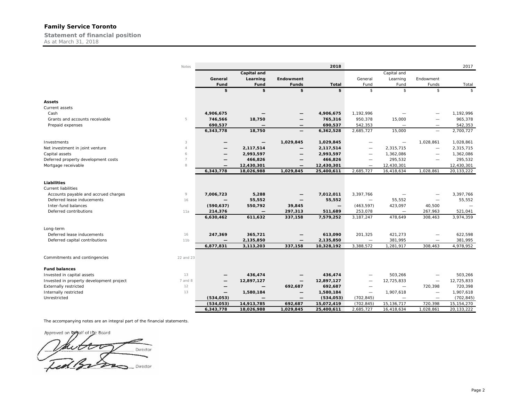#### **Family Service Toronto Statement of financial position** As at March 31, 2018

|                                          | Notes           |                          |                          |                                     | 2018                    |                                       |                          |                          | 2017                 |
|------------------------------------------|-----------------|--------------------------|--------------------------|-------------------------------------|-------------------------|---------------------------------------|--------------------------|--------------------------|----------------------|
|                                          |                 |                          | Capital and              |                                     |                         |                                       | Capital and              |                          |                      |
|                                          |                 | General                  |                          | Endowment                           |                         | General                               |                          | Endowment                |                      |
|                                          |                 | Fund                     | Learning<br>Fund         | Funds                               | Total                   | Fund                                  | Learning<br>Fund         | Funds                    |                      |
|                                          |                 | \$                       | \$                       | $\overline{\mathbf{3}}$             | $\mathbf{s}$            | $\mathfrak{S}$                        | $\mathfrak s$            | $\mathsf{\$}$            | Total<br>\$          |
|                                          |                 |                          |                          |                                     |                         |                                       |                          |                          |                      |
| <b>Assets</b>                            |                 |                          |                          |                                     |                         |                                       |                          |                          |                      |
| Current assets                           |                 |                          |                          |                                     |                         |                                       |                          |                          |                      |
| Cash                                     |                 | 4,906,675                |                          |                                     | 4,906,675               | 1,192,996                             |                          | -                        | 1,192,996            |
| Grants and accounts receivable           | 5               | 746,566                  | 18,750                   | $\overline{\phantom{0}}$            | 765,316                 | 950,378                               | 15,000                   |                          | 965,378              |
| Prepaid expenses                         |                 | 690,537                  |                          |                                     | 690,537                 | 542,353                               |                          | $\overline{\phantom{0}}$ | 542,353              |
|                                          |                 | 6,343,778                | 18,750                   | —                                   | 6,362,528               | 2,685,727                             | 15,000                   |                          | 2,700,727            |
|                                          |                 |                          |                          |                                     |                         |                                       |                          |                          |                      |
| Investments                              | 3               | -                        | $\overline{\phantom{m}}$ | 1,029,845                           | 1,029,845               | $\overbrace{\phantom{1232211}}$       |                          | 1,028,861                | 1,028,861            |
| Net investment in joint venture          | $\overline{A}$  | —                        | 2,117,514                | $\overline{\phantom{0}}$            | 2,117,514               | $\overline{\phantom{0}}$              | 2,315,715                |                          | 2,315,715            |
| Capital assets                           | 6               |                          | 2,993,597                | -                                   | 2,993,597               | $\overline{\phantom{0}}$              | 1,362,086                |                          | 1,362,086            |
| Deferred property development costs      | $\overline{7}$  | —                        | 466,826                  | —                                   | 466,826                 | $\overbrace{\phantom{1232211}}$       | 295,532                  | $\overline{\phantom{m}}$ | 295,532              |
| Mortgage receivable                      | 8               |                          | 12,430,301               | $\overline{\phantom{0}}$            | 12,430,301              |                                       | 12,430,301               |                          | 12,430,301           |
|                                          |                 | 6,343,778                | 18,026,988               | 1,029,845                           | 25,400,611              | 2,685,727                             | 16,418,634               | 1,028,861                | 20,133,222           |
|                                          |                 |                          |                          |                                     |                         |                                       |                          |                          |                      |
| Liabilities                              |                 |                          |                          |                                     |                         |                                       |                          |                          |                      |
| <b>Current liabilities</b>               |                 |                          |                          |                                     |                         |                                       |                          |                          |                      |
| Accounts payable and accrued charges     | 9               | 7,006,723                | 5,288                    | $\overline{\phantom{0}}$            | 7,012,011               | 3,397,766                             |                          |                          | 3,397,766            |
| Deferred lease inducements               | 16              | $\qquad \qquad -$        | 55,552                   | $\overline{\phantom{0}}$            | 55,552                  |                                       | 55,552                   |                          | 55,552               |
| Inter-fund balances                      |                 | (590, 637)               | 550,792                  | 39,845                              | —                       | (463, 597)                            | 423,097                  | 40,500                   |                      |
| Deferred contributions                   | 11a             | 214,376                  |                          | 297,313                             | 511,689                 | 253,078                               | $\overline{\phantom{0}}$ | 267,963                  | 521,041              |
|                                          |                 | 6,630,462                | 611,632                  | 337,158                             | 7,579,252               | 3,187,247                             | 478,649                  | 308,463                  | 3,974,359            |
|                                          |                 |                          |                          |                                     |                         |                                       |                          |                          |                      |
| Long-term                                |                 | 247,369                  | 365,721                  |                                     |                         | 201,325                               | 421,273                  |                          | 622,598              |
| Deferred lease inducements               | 16              |                          |                          | —<br>—                              | 613,090                 |                                       | 381,995                  | -                        |                      |
| Deferred capital contributions           | 11 <sub>b</sub> | 6,877,831                | 2,135,850<br>3,113,203   | $\overline{\phantom{0}}$<br>337,158 | 2,135,850<br>10,328,192 | $\overline{\phantom{0}}$<br>3,388,572 | 1,281,917                | 308,463                  | 381,995<br>4,978,952 |
|                                          |                 |                          |                          |                                     |                         |                                       |                          |                          |                      |
| Commitments and contingencies            | 22 and 23       |                          |                          |                                     |                         |                                       |                          |                          |                      |
| <b>Fund balances</b>                     |                 |                          |                          |                                     |                         |                                       |                          |                          |                      |
| Invested in capital assets               | 13              |                          | 436,474                  |                                     | 436,474                 | -                                     | 503,266                  |                          | 503,266              |
| Invested in property development project | 7 and 8         | $\qquad \qquad$          | 12,897,127               | $\overline{\phantom{0}}$            | 12,897,127              |                                       | 12,725,833               | $\overline{\phantom{0}}$ | 12,725,833           |
| <b>Externally restricted</b>             | 12              |                          | —                        | 692,687                             | 692,687                 | -                                     | $\overline{\phantom{m}}$ | 720,398                  | 720,398              |
| Internally restricted                    | 13              | $\overline{\phantom{m}}$ | 1,580,184                | $\overline{\phantom{0}}$            | 1,580,184               | $\overline{\phantom{m}}$              | 1,907,618                | $\overline{\phantom{0}}$ | 1,907,618            |
| Unrestricted                             |                 | (534, 053)               |                          | $\qquad \qquad$                     | (534, 053)              | (702, 845)                            |                          | $\overline{\phantom{0}}$ | (702, 845)           |
|                                          |                 | (534, 053)               | 14,913,785               | 692,687                             | 15,072,419              | (702, 845)                            | 15,136,717               | 720,398                  | 15, 154, 270         |
|                                          |                 | 6,343,778                | 18,026,988               | 1,029,845                           | 25,400,611              | 2,685,727                             | 16,418,634               | 1,028,861                | 20,133,222           |

The accompanying notes are an integral part of the financial statements.

Approved on behalf of the Board  $\overline{\phantom{a}}$  Director  $\overline{\phantom{a}}$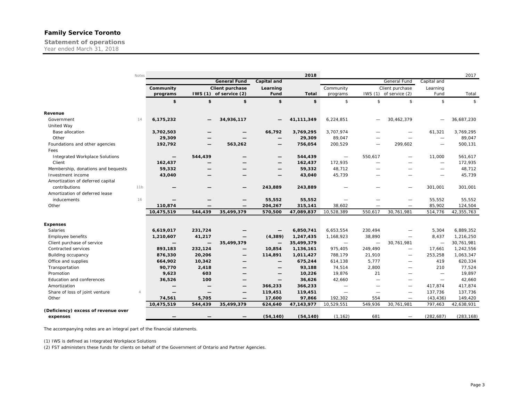**Statement of operations** Year ended March 31, 2018

|                                     | <b>Notes</b>   |                   |                          |                          |                          | 2018       |                          |                                 |                                  |                          | 2017       |
|-------------------------------------|----------------|-------------------|--------------------------|--------------------------|--------------------------|------------|--------------------------|---------------------------------|----------------------------------|--------------------------|------------|
|                                     |                |                   |                          | <b>General Fund</b>      | <b>Capital and</b>       |            |                          |                                 | General Fund                     | Capital and              |            |
|                                     |                | Community         |                          | Client purchase          | Learning                 |            | Community                |                                 | Client purchase                  | Learning                 |            |
|                                     |                | programs          |                          | IWS (1) of service (2)   | Fund                     | Total      | programs                 |                                 | IWS (1) of service (2)           | Fund                     | Total      |
|                                     |                | \$                | \$                       | \$                       | \$                       | \$         | \$                       | \$                              | \$                               | \$                       | \$         |
| Revenue                             |                |                   |                          |                          |                          |            |                          |                                 |                                  |                          |            |
| Government                          | 14             | 6,175,232         |                          | 34,936,117               |                          | 41,111,349 | 6,224,851                |                                 | 30,462,379                       |                          | 36,687,230 |
| United Way                          |                |                   |                          |                          |                          |            |                          |                                 |                                  |                          |            |
| Base allocation                     |                | 3,702,503         |                          |                          | 66,792                   | 3,769,295  | 3,707,974                |                                 |                                  | 61,321                   | 3,769,295  |
| Other                               |                | 29,309            |                          |                          | $\overline{\phantom{m}}$ | 29,309     | 89,047                   |                                 |                                  | $\overline{\phantom{m}}$ | 89,047     |
| Foundations and other agencies      |                | 192,792           |                          | 563,262                  | $\qquad \qquad$          | 756,054    | 200,529                  |                                 | 299,602                          | $\overline{\phantom{0}}$ | 500,131    |
| Fees                                |                |                   |                          |                          |                          |            |                          |                                 |                                  |                          |            |
| Integrated Workplace Solutions      |                | $\qquad \qquad -$ | 544,439                  |                          | $\overline{\phantom{0}}$ | 544,439    | $\overline{\phantom{0}}$ | 550.617                         |                                  | 11,000                   | 561,617    |
| Client                              |                | 162,437           |                          |                          |                          | 162,437    | 172,935                  | $\overline{\phantom{0}}$        | —                                | $\qquad \qquad -$        | 172,935    |
| Membership, donations and bequests  |                | 59,332            |                          |                          | $\qquad \qquad$          | 59,332     | 48,712                   | $\overbrace{\phantom{1232211}}$ |                                  |                          | 48,712     |
| Investment income                   |                | 43,040            |                          | –                        | $\overline{\phantom{0}}$ | 43,040     | 45,739                   | $\overline{\phantom{0}}$        |                                  | $\overline{\phantom{m}}$ | 45,739     |
| Amortization of deferred capital    |                |                   |                          |                          |                          |            |                          |                                 |                                  |                          |            |
| contributions                       | 11b            |                   |                          | —                        | 243,889                  | 243,889    |                          |                                 |                                  | 301,001                  | 301,001    |
| Amortization of deferred lease      |                |                   |                          |                          |                          |            |                          |                                 |                                  |                          |            |
| inducements                         | 16             |                   |                          | —                        | 55,552                   | 55,552     |                          |                                 |                                  | 55,552                   | 55,552     |
| Other                               |                | 110,874           |                          | $\qquad \qquad$          | 204,267                  | 315,141    | 38,602                   |                                 |                                  | 85,902                   | 124,504    |
|                                     |                | 10,475,519        | 544,439                  | 35,499,379               | 570,500                  | 47,089,837 | 10,528,389               | 550.617                         | 30,761,981                       | 514,776                  | 42,355,763 |
| <b>Expenses</b>                     |                |                   |                          |                          |                          |            |                          |                                 |                                  |                          |            |
| Salaries                            |                | 6,619,017         | 231,724                  |                          | $\qquad \qquad$          | 6,850,741  | 6,653,554                | 230,494                         |                                  | 5,304                    | 6,889,352  |
| Employee benefits                   |                | 1,210,607         | 41,217                   |                          | (4, 389)                 | 1,247,435  | 1,168,923                | 38,890                          | $\overline{\phantom{0}}$         | 8,437                    | 1,216,250  |
| Client purchase of service          |                |                   | $\overline{\phantom{m}}$ | 35,499,379               | $\overline{\phantom{m}}$ | 35,499,379 | $\overline{\phantom{m}}$ | $\overline{\phantom{m}}$        | 30,761,981                       | $\overline{\phantom{m}}$ | 30,761,981 |
| Contracted services                 |                | 893,183           | 232,124                  | $\overline{\phantom{0}}$ | 10,854                   | 1,136,161  | 975,405                  | 249,490                         | $\overline{\phantom{m}}$         | 17,661                   | 1,242,556  |
| <b>Building occupancy</b>           |                | 876,330           | 20,206                   | —                        | 114,891                  | 1,011,427  | 788,179                  | 21,910                          | $\overline{\phantom{m}}$         | 253,258                  | 1,063,347  |
| Office and supplies                 |                | 664,902           | 10,342                   |                          | $\qquad \qquad$          | 675,244    | 614,138                  | 5,777                           |                                  | 419                      | 620,334    |
| Transportation                      |                | 90,770            | 2,418                    |                          |                          | 93,188     | 74,514                   | 2,800                           |                                  | 210                      | 77,524     |
| Promotion                           |                | 9,623             | 603                      |                          |                          | 10,226     | 19,876                   | 21                              | —                                | $\qquad \qquad -$        | 19,897     |
| Education and conferences           |                | 36,526            | 100                      |                          | $\qquad \qquad$          | 36,626     | 42,660                   | $\equiv$                        |                                  | $\overline{\phantom{0}}$ | 42,660     |
| Amortization                        |                |                   |                          | —                        | 366,233                  | 366,233    |                          | $\overline{\phantom{0}}$        | $\overbrace{\phantom{12322111}}$ | 417,874                  | 417,874    |
| Share of loss of joint venture      | $\overline{4}$ |                   |                          |                          | 119,451                  | 119,451    |                          | $\overline{\phantom{0}}$        | $\overline{\phantom{m}}$         | 137,736                  | 137,736    |
| Other                               |                | 74,561            | 5,705                    | $\qquad \qquad$          | 17,600                   | 97,866     | 192,302                  | 554                             | $\overbrace{\phantom{12322111}}$ | (43, 436)                | 149,420    |
|                                     |                | 10,475,519        | 544,439                  | 35,499,379               | 624,640                  | 47,143,977 | 10,529,551               | 549,936                         | 30,761,981                       | 797,463                  | 42,638,931 |
| (Deficiency) excess of revenue over |                |                   |                          |                          |                          |            |                          |                                 |                                  |                          |            |
| expenses                            |                |                   |                          |                          | (54, 140)                | (54, 140)  | (1, 162)                 | 681                             | $\overline{\phantom{m}}$         | (282, 687)               | (283, 168) |

The accompanying notes are an integral part of the financial statements.

(1) IWS is defined as Integrated Workplace Solutions

(2) FST administers these funds for clients on behalf of the Government of Ontario and Partner Agencies.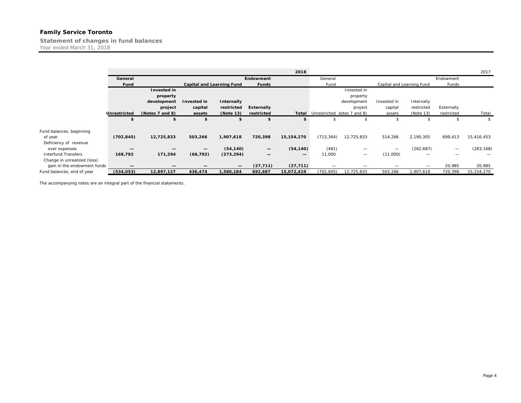**Statement of changes in fund balances** Year ended March 31, 2018

|                             |                     |                 |                           |            |                          | 2018                     |                             |                          |                           |               |            | 2017          |
|-----------------------------|---------------------|-----------------|---------------------------|------------|--------------------------|--------------------------|-----------------------------|--------------------------|---------------------------|---------------|------------|---------------|
|                             | General             |                 |                           |            | Endowment                |                          | General                     |                          |                           |               | Endowment  |               |
|                             | Fund                |                 | Capital and Learning Fund |            | <b>Funds</b>             |                          | Fund                        |                          | Capital and Learning Fund |               | Funds      |               |
|                             |                     | Invested in     |                           |            |                          |                          |                             | Invested in              |                           |               |            |               |
|                             |                     | property        |                           |            |                          |                          |                             | property                 |                           |               |            |               |
|                             |                     | development     | Invested in               | Internally |                          |                          |                             | development              | Invested in               | Internally    |            |               |
|                             |                     | project         | capital                   | restricted | Externally               |                          |                             | project                  | capital                   | restricted    | Externally |               |
|                             | <b>Unrestricted</b> | (Notes 7 and 8) | assets                    | (Note 13)  | restricted               | Total                    | Unrestricted Votes 7 and 8) |                          | assets                    | (Note 13)     | restricted | Total         |
|                             | \$                  | \$              | \$                        | S          | \$                       |                          | $\mathbf{S}$                | \$                       | \$                        | <sup>\$</sup> |            | <sup>\$</sup> |
| Fund balances, beginning    |                     |                 |                           |            |                          |                          |                             |                          |                           |               |            |               |
| of year                     | (702, 845)          | 12,725,833      | 503,266                   | 1,907,618  | 720,398                  | 15,154,270               | (713, 364)                  | 12,725,833               | 514,266                   | 2,190,305     | 699,413    | 15,416,453    |
| Deficiency of revenue       |                     |                 |                           |            |                          |                          |                             |                          |                           |               |            |               |
| over expenses               |                     |                 | –                         | (54, 140)  | $\overline{\phantom{0}}$ | (54, 140)                | (481)                       |                          | -                         | (282, 687)    |            | (283, 168)    |
| <b>Interfund Transfers</b>  | 168,792             | 171,294         | (66, 792)                 | (273, 294) | $\qquad \qquad \qquad$   | $\overline{\phantom{m}}$ | 11,000                      | $\overline{\phantom{m}}$ | (11,000)                  | –             |            | –             |
| Change in unrealized (loss) |                     |                 |                           |            |                          |                          |                             |                          |                           |               |            |               |
| gain in the endowment funds |                     |                 |                           | —          | (27, 711)                | (27, 711)                | –                           |                          | –                         | –             | 20,985     | 20,985        |
| Fund balances, end of year  | (534, 053)          | 12,897,127      | 436,474                   | 1,580,184  | 692,687                  | 15,072,419               | (702, 845)                  | 12,725,833               | 503,266                   | 1,907,618     | 720,398    | 15, 154, 270  |

The accompanying notes are an integral part of the financial statements.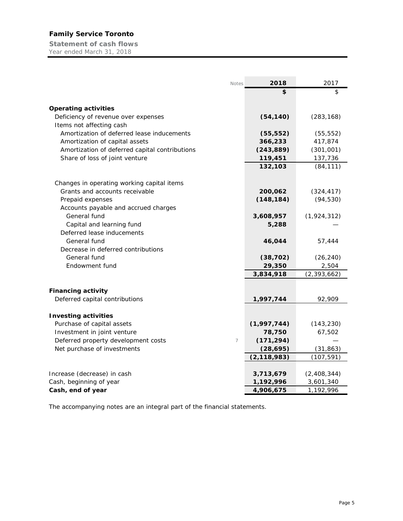**Statement of cash flows** Year ended March 31, 2018

|                                                           | Notes | 2018                  | 2017                 |
|-----------------------------------------------------------|-------|-----------------------|----------------------|
|                                                           |       | \$                    | \$                   |
| <b>Operating activities</b>                               |       |                       |                      |
| Deficiency of revenue over expenses                       |       | (54, 140)             | (283, 168)           |
| Items not affecting cash                                  |       |                       |                      |
| Amortization of deferred lease inducements                |       | (55, 552)             | (55, 552)            |
| Amortization of capital assets                            |       | 366,233               | 417,874              |
| Amortization of deferred capital contributions            |       | (243, 889)            | (301,001)            |
| Share of loss of joint venture                            |       | 119,451               | 137,736              |
|                                                           |       | 132,103               | (84, 111)            |
|                                                           |       |                       |                      |
| Changes in operating working capital items                |       |                       |                      |
| Grants and accounts receivable                            |       | 200,062               | (324, 417)           |
| Prepaid expenses                                          |       | (148, 184)            | (94, 530)            |
| Accounts payable and accrued charges                      |       |                       |                      |
| General fund                                              |       | 3,608,957             | (1, 924, 312)        |
| Capital and learning fund<br>Deferred lease inducements   |       | 5,288                 |                      |
| General fund                                              |       |                       | 57,444               |
| Decrease in deferred contributions                        |       | 46,044                |                      |
| General fund                                              |       | (38, 702)             | (26, 240)            |
| Endowment fund                                            |       | 29,350                | 2,504                |
|                                                           |       | 3,834,918             | (2, 393, 662)        |
|                                                           |       |                       |                      |
| <b>Financing activity</b>                                 |       |                       |                      |
| Deferred capital contributions                            |       | 1,997,744             | 92,909               |
|                                                           |       |                       |                      |
| <b>Investing activities</b>                               |       |                       |                      |
| Purchase of capital assets<br>Investment in joint venture |       | (1,997,744)<br>78,750 | (143, 230)<br>67,502 |
| Deferred property development costs                       | 7     | (171, 294)            |                      |
| Net purchase of investments                               |       | (28, 695)             | (31, 863)            |
|                                                           |       | (2, 118, 983)         | (107, 591)           |
|                                                           |       |                       |                      |
| Increase (decrease) in cash                               |       | 3,713,679             | (2,408,344)          |
| Cash, beginning of year                                   |       | 1,192,996             | 3,601,340            |
| Cash, end of year                                         |       | 4,906,675             | 1,192,996            |

The accompanying notes are an integral part of the financial statements.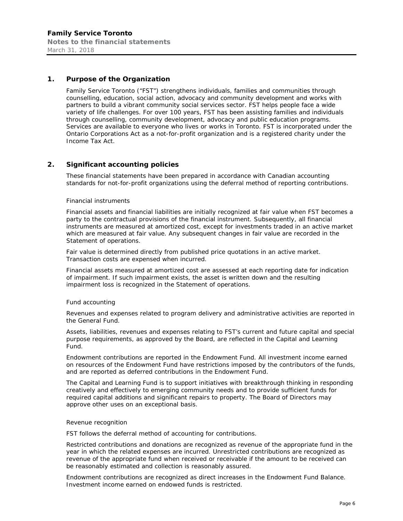#### **1. Purpose of the Organization**

Family Service Toronto ("FST") strengthens individuals, families and communities through counselling, education, social action, advocacy and community development and works with partners to build a vibrant community social services sector. FST helps people face a wide variety of life challenges. For over 100 years, FST has been assisting families and individuals through counselling, community development, advocacy and public education programs. Services are available to everyone who lives or works in Toronto. FST is incorporated under the Ontario Corporations Act as a not-for-profit organization and is a registered charity under the Income Tax Act.

#### **2. Significant accounting policies**

These financial statements have been prepared in accordance with Canadian accounting standards for not-for-profit organizations using the deferral method of reporting contributions.

#### *Financial instruments*

Financial assets and financial liabilities are initially recognized at fair value when FST becomes a party to the contractual provisions of the financial instrument. Subsequently, all financial instruments are measured at amortized cost, except for investments traded in an active market which are measured at fair value. Any subsequent changes in fair value are recorded in the Statement of operations.

Fair value is determined directly from published price quotations in an active market. Transaction costs are expensed when incurred.

Financial assets measured at amortized cost are assessed at each reporting date for indication of impairment. If such impairment exists, the asset is written down and the resulting impairment loss is recognized in the Statement of operations.

#### *Fund accounting*

Revenues and expenses related to program delivery and administrative activities are reported in the General Fund.

Assets, liabilities, revenues and expenses relating to FST's current and future capital and special purpose requirements, as approved by the Board, are reflected in the Capital and Learning Fund.

Endowment contributions are reported in the Endowment Fund. All investment income earned on resources of the Endowment Fund have restrictions imposed by the contributors of the funds, and are reported as deferred contributions in the Endowment Fund.

The Capital and Learning Fund is to support initiatives with breakthrough thinking in responding creatively and effectively to emerging community needs and to provide sufficient funds for required capital additions and significant repairs to property. The Board of Directors may approve other uses on an exceptional basis.

#### *Revenue recognition*

FST follows the deferral method of accounting for contributions.

Restricted contributions and donations are recognized as revenue of the appropriate fund in the year in which the related expenses are incurred. Unrestricted contributions are recognized as revenue of the appropriate fund when received or receivable if the amount to be received can be reasonably estimated and collection is reasonably assured.

Endowment contributions are recognized as direct increases in the Endowment Fund Balance. Investment income earned on endowed funds is restricted.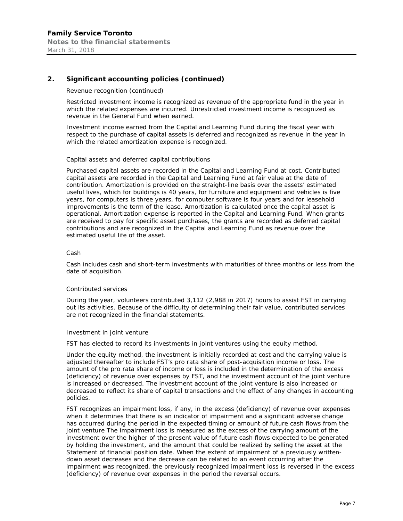#### **2. Significant accounting policies (continued)**

#### *Revenue recognition (continued)*

Restricted investment income is recognized as revenue of the appropriate fund in the year in which the related expenses are incurred. Unrestricted investment income is recognized as revenue in the General Fund when earned.

Investment income earned from the Capital and Learning Fund during the fiscal year with respect to the purchase of capital assets is deferred and recognized as revenue in the year in which the related amortization expense is recognized.

#### *Capital assets and deferred capital contributions*

Purchased capital assets are recorded in the Capital and Learning Fund at cost. Contributed capital assets are recorded in the Capital and Learning Fund at fair value at the date of contribution. Amortization is provided on the straight-line basis over the assets' estimated useful lives, which for buildings is 40 years, for furniture and equipment and vehicles is five years, for computers is three years, for computer software is four years and for leasehold improvements is the term of the lease. Amortization is calculated once the capital asset is operational. Amortization expense is reported in the Capital and Learning Fund. When grants are received to pay for specific asset purchases, the grants are recorded as deferred capital contributions and are recognized in the Capital and Learning Fund as revenue over the estimated useful life of the asset.

#### *Cash*

Cash includes cash and short-term investments with maturities of three months or less from the date of acquisition.

#### *Contributed services*

During the year, volunteers contributed 3,112 (2,988 in 2017) hours to assist FST in carrying out its activities. Because of the difficulty of determining their fair value, contributed services are not recognized in the financial statements.

#### *Investment in joint venture*

FST has elected to record its investments in joint ventures using the equity method.

Under the equity method, the investment is initially recorded at cost and the carrying value is adjusted thereafter to include FST's pro rata share of post-acquisition income or loss. The amount of the pro rata share of income or loss is included in the determination of the excess (deficiency) of revenue over expenses by FST, and the investment account of the joint venture is increased or decreased. The investment account of the joint venture is also increased or decreased to reflect its share of capital transactions and the effect of any changes in accounting policies.

FST recognizes an impairment loss, if any, in the excess (deficiency) of revenue over expenses when it determines that there is an indicator of impairment and a significant adverse change has occurred during the period in the expected timing or amount of future cash flows from the joint venture The impairment loss is measured as the excess of the carrying amount of the investment over the higher of the present value of future cash flows expected to be generated by holding the investment, and the amount that could be realized by selling the asset at the Statement of financial position date. When the extent of impairment of a previously writtendown asset decreases and the decrease can be related to an event occurring after the impairment was recognized, the previously recognized impairment loss is reversed in the excess (deficiency) of revenue over expenses in the period the reversal occurs.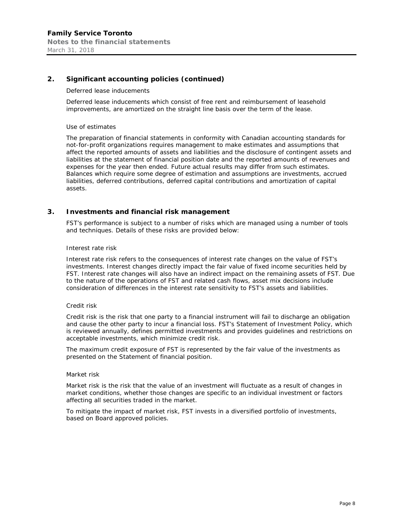#### **2. Significant accounting policies (continued)**

#### *Deferred lease inducements*

Deferred lease inducements which consist of free rent and reimbursement of leasehold improvements, are amortized on the straight line basis over the term of the lease.

#### *Use of estimates*

The preparation of financial statements in conformity with Canadian accounting standards for not-for-profit organizations requires management to make estimates and assumptions that affect the reported amounts of assets and liabilities and the disclosure of contingent assets and liabilities at the statement of financial position date and the reported amounts of revenues and expenses for the year then ended. Future actual results may differ from such estimates. Balances which require some degree of estimation and assumptions are investments, accrued liabilities, deferred contributions, deferred capital contributions and amortization of capital assets.

#### **3. Investments and financial risk management**

FST's performance is subject to a number of risks which are managed using a number of tools and techniques. Details of these risks are provided below:

#### *Interest rate risk*

Interest rate risk refers to the consequences of interest rate changes on the value of FST's investments. Interest changes directly impact the fair value of fixed income securities held by FST. Interest rate changes will also have an indirect impact on the remaining assets of FST. Due to the nature of the operations of FST and related cash flows, asset mix decisions include consideration of differences in the interest rate sensitivity to FST's assets and liabilities.

#### *Credit risk*

Credit risk is the risk that one party to a financial instrument will fail to discharge an obligation and cause the other party to incur a financial loss. FST's Statement of Investment Policy, which is reviewed annually, defines permitted investments and provides guidelines and restrictions on acceptable investments, which minimize credit risk.

The maximum credit exposure of FST is represented by the fair value of the investments as presented on the Statement of financial position.

#### *Market risk*

Market risk is the risk that the value of an investment will fluctuate as a result of changes in market conditions, whether those changes are specific to an individual investment or factors affecting all securities traded in the market.

To mitigate the impact of market risk, FST invests in a diversified portfolio of investments, based on Board approved policies.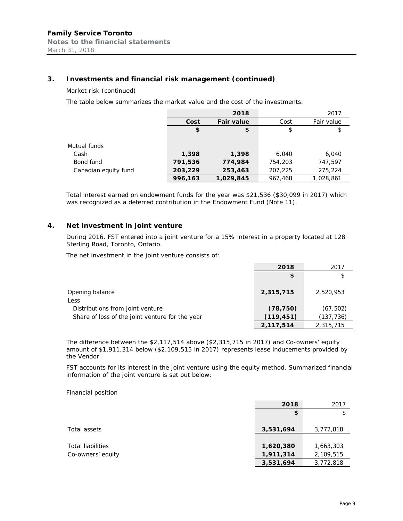#### **3. Investments and financial risk management (continued)**

#### *Market risk (continued)*

The table below summarizes the market value and the cost of the investments:

|                      |         | 2018              |         | 2017       |
|----------------------|---------|-------------------|---------|------------|
|                      | Cost    | <b>Fair value</b> | Cost    | Fair value |
|                      | \$      | \$                | \$      | \$         |
|                      |         |                   |         |            |
| Mutual funds         |         |                   |         |            |
| Cash                 | 1,398   | 1,398             | 6,040   | 6,040      |
| Bond fund            | 791,536 | 774,984           | 754,203 | 747.597    |
| Canadian equity fund | 203,229 | 253,463           | 207,225 | 275,224    |
|                      | 996,163 | 1,029,845         | 967,468 | 1,028,861  |

Total interest earned on endowment funds for the year was \$21,536 (\$30,099 in 2017) which was recognized as a deferred contribution in the Endowment Fund (Note 11).

#### **4. Net investment in joint venture**

During 2016, FST entered into a joint venture for a 15% interest in a property located at 128 Sterling Road, Toronto, Ontario.

The net investment in the joint venture consists of:

|                                                 | 2018       | 2017       |
|-------------------------------------------------|------------|------------|
|                                                 | \$         |            |
| Opening balance                                 | 2,315,715  | 2,520,953  |
| Less                                            |            |            |
| Distributions from joint venture                | (78, 750)  | (67, 502)  |
| Share of loss of the joint venture for the year | (119, 451) | (137, 736) |
|                                                 | 2,117,514  | 2,315,715  |

The difference between the \$2,117,514 above (\$2,315,715 in 2017) and Co-owners' equity amount of \$1,911,314 below (\$2,109,515 in 2017) represents lease inducements provided by the Vendor.

FST accounts for its interest in the joint venture using the equity method. Summarized financial information of the joint venture is set out below:

#### *Financial position*

|                                        | 2018                   | 2017                   |
|----------------------------------------|------------------------|------------------------|
|                                        | \$                     |                        |
| Total assets                           | 3,531,694              | 3,772,818              |
|                                        |                        |                        |
| Total liabilities<br>Co-owners' equity | 1,620,380<br>1,911,314 | 1,663,303<br>2,109,515 |
|                                        | 3,531,694              | 3,772,818              |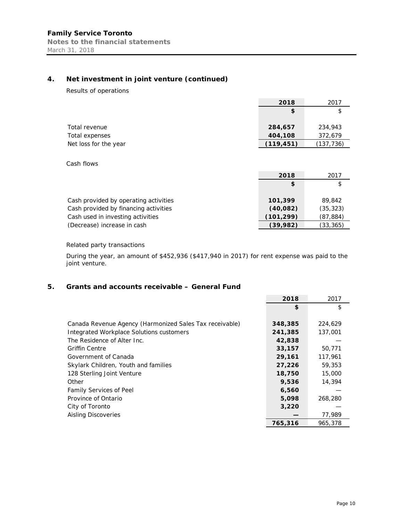#### **4. Net investment in joint venture (continued)**

*Results of operations* 

|                       | 2018       | 2017       |
|-----------------------|------------|------------|
|                       | \$         | \$         |
|                       |            |            |
| Total revenue         | 284,657    | 234,943    |
| Total expenses        | 404,108    | 372,679    |
| Net loss for the year | (119, 451) | (137, 736) |

*Cash flows* 

|                                       | 2018       | 2017      |
|---------------------------------------|------------|-----------|
|                                       | \$         | \$        |
|                                       |            |           |
| Cash provided by operating activities | 101,399    | 89,842    |
| Cash provided by financing activities | (40, 082)  | (35, 323) |
| Cash used in investing activities     | (101, 299) | (87, 884) |
| (Decrease) increase in cash           | (39, 982)  | (33, 365) |

#### *Related party transactions*

During the year, an amount of \$452,936 (\$417,940 in 2017) for rent expense was paid to the joint venture.

#### **5. Grants and accounts receivable – General Fund**

|                                                         | 2018    | 2017    |
|---------------------------------------------------------|---------|---------|
|                                                         | \$      | \$      |
|                                                         |         |         |
| Canada Revenue Agency (Harmonized Sales Tax receivable) | 348,385 | 224,629 |
| Integrated Workplace Solutions customers                | 241,385 | 137,001 |
| The Residence of Alter Inc.                             | 42,838  |         |
| Griffin Centre                                          | 33,157  | 50,771  |
| Government of Canada                                    | 29,161  | 117,961 |
| Skylark Children, Youth and families                    | 27,226  | 59,353  |
| 128 Sterling Joint Venture                              | 18,750  | 15,000  |
| Other                                                   | 9,536   | 14,394  |
| Family Services of Peel                                 | 6,560   |         |
| Province of Ontario                                     | 5,098   | 268,280 |
| City of Toronto                                         | 3,220   |         |
| <b>Aisling Discoveries</b>                              |         | 77,989  |
|                                                         | 765,316 | 965,378 |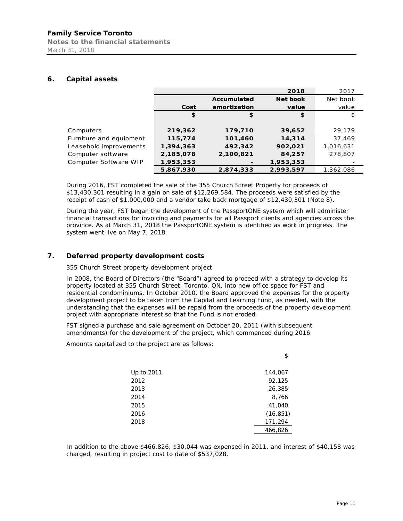**Notes to the financial statements**  March 31, 2018

#### **6. Capital assets**

|                         |           |              | 2018      | 2017      |
|-------------------------|-----------|--------------|-----------|-----------|
|                         |           | Accumulated  | Net book  | Net book  |
|                         | Cost      | amortization | value     | value     |
|                         | \$        | \$           | \$        | \$        |
|                         |           |              |           |           |
| Computers               | 219,362   | 179,710      | 39,652    | 29.179    |
| Furniture and equipment | 115,774   | 101,460      | 14,314    | 37,469    |
| Leasehold improvements  | 1,394,363 | 492,342      | 902,021   | 1,016,631 |
| Computer software       | 2,185,078 | 2,100,821    | 84,257    | 278,807   |
| Computer Software WIP   | 1,953,353 |              | 1,953,353 |           |
|                         | 5,867,930 | 2,874,333    | 2.993.597 | 1,362,086 |

During 2016, FST completed the sale of the 355 Church Street Property for proceeds of \$13,430,301 resulting in a gain on sale of \$12,269,584. The proceeds were satisfied by the receipt of cash of \$1,000,000 and a vendor take back mortgage of \$12,430,301 (Note 8).

During the year, FST began the development of the PassportONE system which will administer financial transactions for invoicing and payments for all Passport clients and agencies across the province. As at March 31, 2018 the PassportONE system is identified as work in progress. The system went live on May 7, 2018.

#### **7. Deferred property development costs**

#### *355 Church Street property development project*

In 2008, the Board of Directors (the "Board") agreed to proceed with a strategy to develop its property located at 355 Church Street, Toronto, ON, into new office space for FST and residential condominiums. In October 2010, the Board approved the expenses for the property development project to be taken from the Capital and Learning Fund, as needed, with the understanding that the expenses will be repaid from the proceeds of the property development project with appropriate interest so that the Fund is not eroded.

FST signed a purchase and sale agreement on October 20, 2011 (with subsequent amendments) for the development of the project, which commenced during 2016.

Amounts capitalized to the project are as follows:

|            | ↩         |
|------------|-----------|
| Up to 2011 | 144,067   |
| 2012       | 92,125    |
| 2013       | 26,385    |
| 2014       | 8,766     |
| 2015       | 41,040    |
| 2016       | (16, 851) |
| 2018       | 171,294   |
|            | 466,826   |

\$

In addition to the above \$466,826, \$30,044 was expensed in 2011, and interest of \$40,158 was charged, resulting in project cost to date of \$537,028.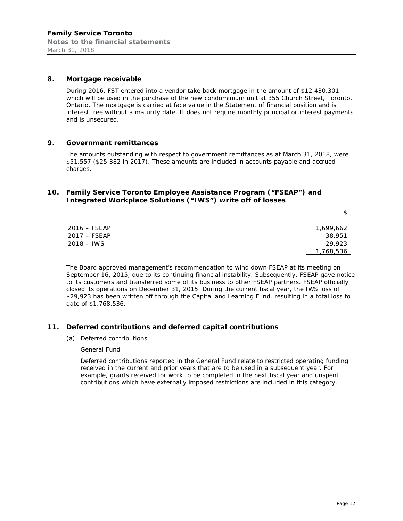#### **8. Mortgage receivable**

During 2016, FST entered into a vendor take back mortgage in the amount of \$12,430,301 which will be used in the purchase of the new condominium unit at 355 Church Street, Toronto, Ontario. The mortgage is carried at face value in the Statement of financial position and is interest free without a maturity date. It does not require monthly principal or interest payments and is unsecured.

#### **9. Government remittances**

The amounts outstanding with respect to government remittances as at March 31, 2018, were \$51,557 (\$25,382 in 2017). These amounts are included in accounts payable and accrued charges.

#### **10. Family Service Toronto Employee Assistance Program ("FSEAP") and Integrated Workplace Solutions ("IWS") write off of losses**

| 2016 – FSEAP | 1,699,662 |
|--------------|-----------|
| 2017 – FSEAP | 38,951    |
| 2018 – IWS   | 29.923    |
|              | 1,768,536 |

The Board approved management's recommendation to wind down FSEAP at its meeting on September 16, 2015, due to its continuing financial instability. Subsequently, FSEAP gave notice to its customers and transferred some of its business to other FSEAP partners. FSEAP officially closed its operations on December 31, 2015. During the current fiscal year, the IWS loss of \$29,923 has been written off through the Capital and Learning Fund, resulting in a total loss to date of \$1,768,536.

#### **11. Deferred contributions and deferred capital contributions**

#### *(a) Deferred contributions*

#### *General Fund*

Deferred contributions reported in the General Fund relate to restricted operating funding received in the current and prior years that are to be used in a subsequent year. For example, grants received for work to be completed in the next fiscal year and unspent contributions which have externally imposed restrictions are included in this category.

\$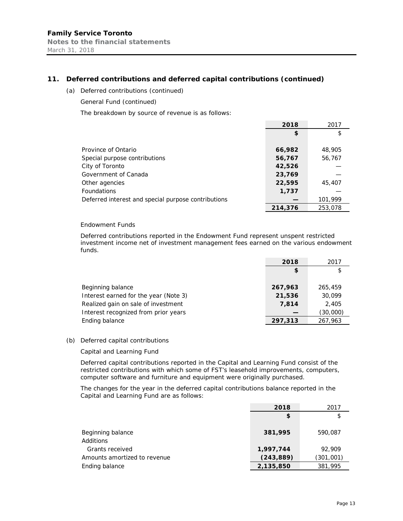#### **11. Deferred contributions and deferred capital contributions (continued)**

*(a) Deferred contributions (continued)* 

#### *General Fund (continued)*

The breakdown by source of revenue is as follows:

|                                                     | 2018    | 2017    |
|-----------------------------------------------------|---------|---------|
|                                                     | \$      | \$      |
|                                                     |         |         |
| Province of Ontario                                 | 66,982  | 48,905  |
| Special purpose contributions                       | 56,767  | 56,767  |
| City of Toronto                                     | 42,526  |         |
| Government of Canada                                | 23,769  |         |
| Other agencies                                      | 22,595  | 45,407  |
| <b>Foundations</b>                                  | 1,737   |         |
| Deferred interest and special purpose contributions |         | 101,999 |
|                                                     | 214,376 | 253,078 |

#### *Endowment Funds*

Deferred contributions reported in the Endowment Fund represent unspent restricted investment income net of investment management fees earned on the various endowment funds.

|                                       | 2018    | 2017     |
|---------------------------------------|---------|----------|
|                                       | \$      |          |
|                                       |         |          |
| Beginning balance                     | 267,963 | 265,459  |
| Interest earned for the year (Note 3) | 21,536  | 30,099   |
| Realized gain on sale of investment   | 7,814   | 2,405    |
| Interest recognized from prior years  |         | (30,000) |
| Ending balance                        | 297,313 | 267,963  |

#### *(b) Deferred capital contributions*

#### *Capital and Learning Fund*

Deferred capital contributions reported in the Capital and Learning Fund consist of the restricted contributions with which some of FST's leasehold improvements, computers, computer software and furniture and equipment were originally purchased.

The changes for the year in the deferred capital contributions balance reported in the Capital and Learning Fund are as follows:

|                              | 2018       | 2017       |
|------------------------------|------------|------------|
|                              | \$         | \$         |
|                              |            |            |
| Beginning balance            | 381,995    | 590.087    |
| <b>Additions</b>             |            |            |
| Grants received              | 1,997,744  | 92.909     |
| Amounts amortized to revenue | (243, 889) | (301, 001) |
| Ending balance               | 2,135,850  | 381,995    |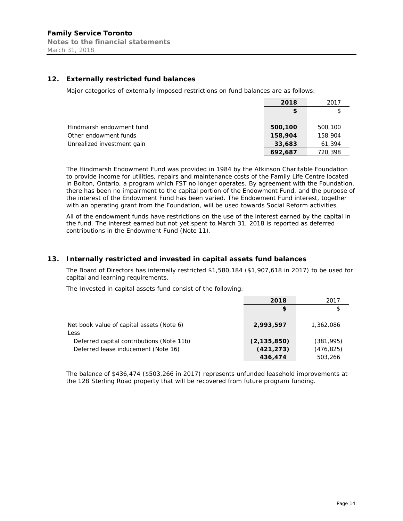#### **12. Externally restricted fund balances**

Major categories of externally imposed restrictions on fund balances are as follows:

|                            | 2018    | 2017    |
|----------------------------|---------|---------|
|                            | \$      | \$      |
|                            |         |         |
| Hindmarsh endowment fund   | 500,100 | 500,100 |
| Other endowment funds      | 158,904 | 158,904 |
| Unrealized investment gain | 33,683  | 61,394  |
|                            | 692,687 | 720,398 |

The Hindmarsh Endowment Fund was provided in 1984 by the Atkinson Charitable Foundation to provide income for utilities, repairs and maintenance costs of the Family Life Centre located in Bolton, Ontario, a program which FST no longer operates. By agreement with the Foundation, there has been no impairment to the capital portion of the Endowment Fund, and the purpose of the interest of the Endowment Fund has been varied. The Endowment Fund interest, together with an operating grant from the Foundation, will be used towards Social Reform activities.

All of the endowment funds have restrictions on the use of the interest earned by the capital in the fund. The interest earned but not yet spent to March 31, 2018 is reported as deferred contributions in the Endowment Fund (Note 11).

#### **13. Internally restricted and invested in capital assets fund balances**

The Board of Directors has internally restricted \$1,580,184 (\$1,907,618 in 2017) to be used for capital and learning requirements.

The Invested in capital assets fund consist of the following:

|                                           | 2018          | 2017       |
|-------------------------------------------|---------------|------------|
|                                           |               |            |
|                                           | \$            | \$         |
|                                           |               |            |
| Net book value of capital assets (Note 6) | 2,993,597     | 1,362,086  |
| Less                                      |               |            |
| Deferred capital contributions (Note 11b) | (2, 135, 850) | (381, 995) |
| Deferred lease inducement (Note 16)       | (421, 273)    | (476, 825) |
|                                           | 436,474       | 503,266    |

The balance of \$436,474 (\$503,266 in 2017) represents unfunded leasehold improvements at the 128 Sterling Road property that will be recovered from future program funding.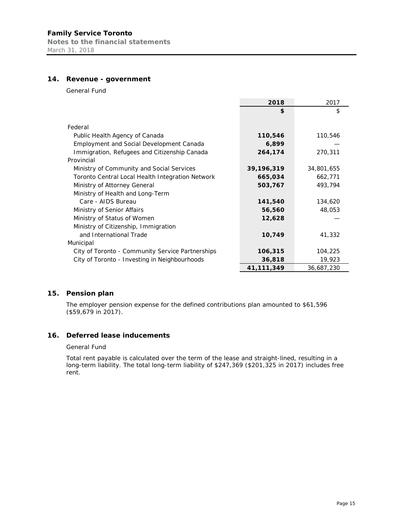#### **14. Revenue - government**

*General Fund* 

|                                                  | 2018         | 2017       |
|--------------------------------------------------|--------------|------------|
|                                                  | \$           | \$         |
|                                                  |              |            |
| Federal                                          |              |            |
| Public Health Agency of Canada                   | 110,546      | 110,546    |
| Employment and Social Development Canada         | 6,899        |            |
| Immigration, Refugees and Citizenship Canada     | 264,174      | 270,311    |
| Provincial                                       |              |            |
| Ministry of Community and Social Services        | 39,196,319   | 34,801,655 |
| Toronto Central Local Health Integration Network | 665,034      | 662,771    |
| Ministry of Attorney General                     | 503,767      | 493,794    |
| Ministry of Health and Long-Term                 |              |            |
| Care - AIDS Bureau                               | 141,540      | 134,620    |
| Ministry of Senior Affairs                       | 56,560       | 48,053     |
| Ministry of Status of Women                      | 12,628       |            |
| Ministry of Citizenship, Immigration             |              |            |
| and International Trade                          | 10,749       | 41,332     |
| Municipal                                        |              |            |
| City of Toronto - Community Service Partnerships | 106,315      | 104,225    |
| City of Toronto - Investing in Neighbourhoods    | 36,818       | 19,923     |
|                                                  | 41, 111, 349 | 36,687,230 |

#### **15. Pension plan**

The employer pension expense for the defined contributions plan amounted to \$61,596 (\$59,679 in 2017).

#### **16. Deferred lease inducements**

#### *General Fund*

Total rent payable is calculated over the term of the lease and straight-lined, resulting in a long-term liability. The total long-term liability of \$247,369 (\$201,325 in 2017) includes free rent.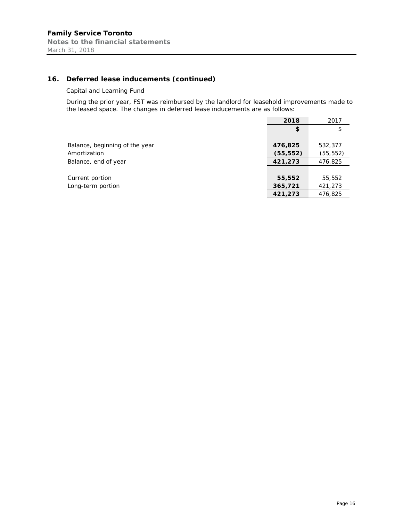#### **16. Deferred lease inducements (continued)**

#### *Capital and Learning Fund*

During the prior year, FST was reimbursed by the landlord for leasehold improvements made to the leased space. The changes in deferred lease inducements are as follows:

|                                | 2018      | 2017      |
|--------------------------------|-----------|-----------|
|                                | \$        | \$        |
|                                |           |           |
| Balance, beginning of the year | 476,825   | 532,377   |
| Amortization                   | (55, 552) | (55, 552) |
| Balance, end of year           | 421,273   | 476,825   |
|                                |           |           |
| Current portion                | 55,552    | 55,552    |
| Long-term portion              | 365,721   | 421,273   |
|                                | 421,273   | 476,825   |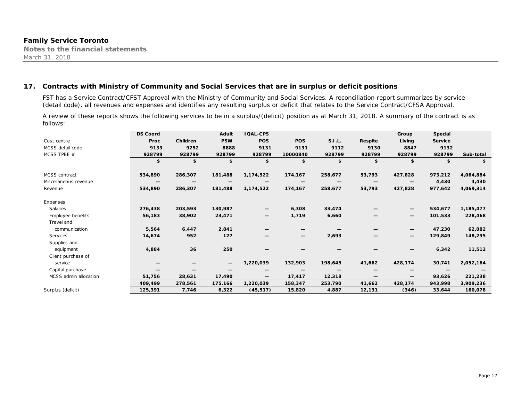#### **17. Contracts with Ministry of Community and Social Services that are in surplus or deficit positions**

FST has a Service Contract/CFST Approval with the Ministry of Community and Social Services. A reconciliation report summarizes by service (detail code), all revenues and expenses and identifies any resulting surplus or deficit that relates to the Service Contract/CFSA Approval.

A review of these reports shows the following services to be in a surplus/(deficit) position as at March 31, 2018. A summary of the contract is as follows:

|                       | <b>DS Coord</b> |          | Adult                    | <b>IQAL-CPS</b>   |            |         |                          | Group                    | Special        |           |
|-----------------------|-----------------|----------|--------------------------|-------------------|------------|---------|--------------------------|--------------------------|----------------|-----------|
| Cost centre           | Proc            | Children | <b>PSW</b>               | <b>POS</b>        | <b>POS</b> | S.I.L.  | <b>Respite</b>           | Living                   | <b>Service</b> |           |
| MCSS detail code      | 9133            | 9252     | 8888                     | 9131              | 9131       | 9112    | 9130                     | 8847                     | 9132           |           |
| MCSS TPBE #           | 928799          | 928799   | 928799                   | 928799            | 10000840   | 928799  | 928799                   | 928799                   | 928799         | Sub-total |
|                       | \$              | \$       | \$                       | \$                | \$         | \$      | \$                       | \$                       | \$             | \$        |
| MCSS contract         | 534,890         | 286,307  | 181,488                  | 1,174,522         | 174,167    | 258,677 | 53,793                   | 427,828                  | 973,212        | 4,064,884 |
| Miscellaneous revenue | —               | -        | -                        | —                 | –          |         | $\qquad \qquad$          | -                        | 4,430          | 4,430     |
| Revenue               | 534,890         | 286,307  | 181,488                  | 1,174,522         | 174,167    | 258,677 | 53,793                   | 427,828                  | 977,642        | 4,069,314 |
| Expenses              |                 |          |                          |                   |            |         |                          |                          |                |           |
| Salaries              | 276,438         | 203,593  | 130,987                  | $\qquad \qquad -$ | 6,308      | 33,474  |                          | $\overline{\phantom{m}}$ | 534,677        | 1,185,477 |
| Employee benefits     | 56,183          | 38,902   | 23,471                   | —                 | 1,719      | 6,660   | –                        | $\overline{\phantom{m}}$ | 101,533        | 228,468   |
| Travel and            |                 |          |                          |                   |            |         |                          |                          |                |           |
| communication         | 5,564           | 6,447    | 2,841                    |                   | -          |         |                          | $\overline{\phantom{m}}$ | 47,230         | 62,082    |
| Services              | 14,674          | 952      | 127                      | —                 | —          | 2,693   | –                        | $\overline{\phantom{m}}$ | 129,849        | 148,295   |
| Supplies and          |                 |          |                          |                   |            |         |                          |                          |                |           |
| equipment             | 4,884           | 36       | 250                      |                   |            |         |                          | —                        | 6,342          | 11,512    |
| Client purchase of    |                 |          |                          |                   |            |         |                          |                          |                |           |
| service               |                 |          | $\overline{\phantom{m}}$ | 1,220,039         | 132,903    | 198,645 | 41,662                   | 428,174                  | 30,741         | 2,052,164 |
| Capital purchase      | -               |          |                          | –                 | –          |         |                          |                          |                |           |
| MCSS admin allocation | 51,756          | 28,631   | 17,490                   | $\qquad \qquad -$ | 17,417     | 12,318  | $\overline{\phantom{m}}$ | $\qquad \qquad -$        | 93,626         | 221,238   |
|                       | 409,499         | 278,561  | 175,166                  | 1,220,039         | 158,347    | 253,790 | 41,662                   | 428,174                  | 943,998        | 3,909,236 |
| Surplus (deficit)     | 125,391         | 7,746    | 6,322                    | (45, 517)         | 15,820     | 4,887   | 12,131                   | (346)                    | 33,644         | 160,078   |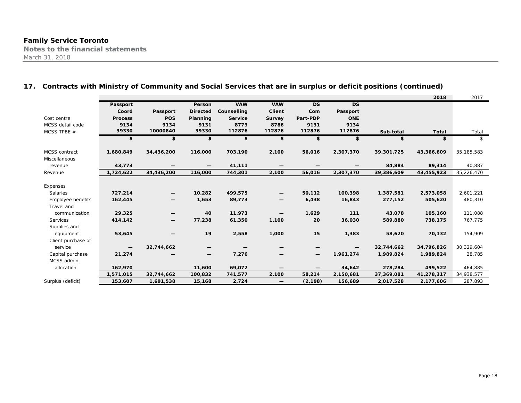**Notes to the financial statements** March 31, 2018

#### **2018** 2017 **Passport Person VAW VAW DS DS Coord Passport Directed Counselling Client Com Passport** Cost centre **Process POS Planning Service Survey Part-PDP ONE** MCSS detail code **9134 9134 9131 8773 8786 9131 9134**MCSS TPBE # **39330 10000840 39330 112876 112876 112876 112876 Sub-total Total** Total **\$ \$\$\$\$\$ \$ \$ \$** \$ MCSS contract **34,436,200 1,680,849 116,000 703,190 2,100 56,016 2,307,370 39,301,725 43,366,609** 35,185,583 Miscellaneous revenue **— 43,773 — 41,111 — — — 84,884 89,314** 40,887 Revenue **34,436,200 1,724,622 116,000 744,301 2,100 56,016 2,307,370 39,386,609 43,455,923** 35,226,470 Expenses Salaries **— 727,214 10,282 499,575 — 50,112 100,398 1,387,581 2,573,058** 2,601,221 Employee benefits **— 162,445 1,653 89,773 — 6,438 16,843 277,152 505,620** 480,310 Travel andcommunication **— 29,325 40 11,973 — 1,629 111 43,078 105,160** 111,088 Services **— 414,142 77,238 61,350 1,100 20 36,030 589,880 738,175** 767,775 Supplies and equipment **— 53,645 19 2,558 1,000 15 1,383 58,620 70,132** 154,909 Client purchase of service **32,744,662 — — — — — — 32,744,662 34,796,826** 30,329,604 Capital purchase **— 21,274 — 7,276 — — 1,961,274 1,989,824 1,989,824** 28,785 MCSS admin allocation **11,600 162,970 69,072 — — 34,642 278,284 499,522** 464,885  **32,744,662 1,571,015 100,832 741,577 2,100 58,214 2,150,681 37,369,081 41,278,317** 34,938,577 Surplus (deficit) **1,691,538 153,607 15,168 2,724 — (2,198) 156,689 2,017,528 2,177,606** 287,893

#### **17. Contracts with Ministry of Community and Social Services that are in surplus or deficit positions (continued)**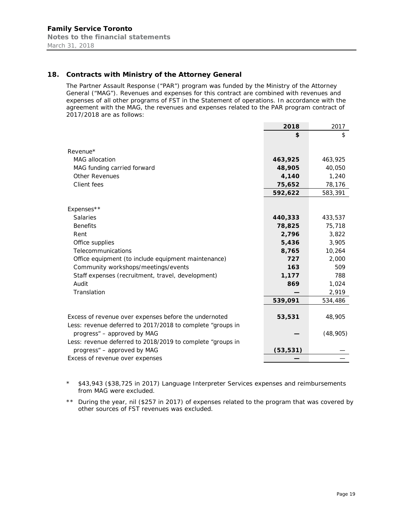#### **18. Contracts with Ministry of the Attorney General**

The Partner Assault Response ("PAR") program was funded by the Ministry of the Attorney General ("MAG"). Revenues and expenses for this contract are combined with revenues and expenses of all other programs of FST in the Statement of operations. In accordance with the agreement with the MAG, the revenues and expenses related to the PAR program contract of 2017/2018 are as follows:

| \$<br>\$<br>Revenue*<br><b>MAG</b> allocation<br>463,925<br>463,925<br>MAG funding carried forward<br>48,905<br>40,050<br>Other Revenues<br>4,140<br>1,240<br>Client fees<br>75,652<br>78,176<br>592,622<br>583,391<br>Expenses**<br>Salaries<br>440,333<br>433,537<br><b>Benefits</b><br>75,718<br>78,825<br>3,822<br>Rent<br>2,796<br>5,436<br>3,905<br>Office supplies<br>Telecommunications<br>10,264<br>8,765<br>Office equipment (to include equipment maintenance)<br>727<br>2,000<br>Community workshops/meetings/events<br>163<br>509<br>Staff expenses (recruitment, travel, development)<br>1,177<br>788<br>Audit<br>869<br>1,024<br>Translation<br>2,919<br>539,091<br>534,486<br>Excess of revenue over expenses before the undernoted<br>53,531<br>48,905<br>(48, 905)<br>progress" – approved by MAG<br>progress" - approved by MAG<br>(53, 531)<br>Excess of revenue over expenses |                                                            | 2018 | 2017 |
|----------------------------------------------------------------------------------------------------------------------------------------------------------------------------------------------------------------------------------------------------------------------------------------------------------------------------------------------------------------------------------------------------------------------------------------------------------------------------------------------------------------------------------------------------------------------------------------------------------------------------------------------------------------------------------------------------------------------------------------------------------------------------------------------------------------------------------------------------------------------------------------------------|------------------------------------------------------------|------|------|
|                                                                                                                                                                                                                                                                                                                                                                                                                                                                                                                                                                                                                                                                                                                                                                                                                                                                                                    |                                                            |      |      |
|                                                                                                                                                                                                                                                                                                                                                                                                                                                                                                                                                                                                                                                                                                                                                                                                                                                                                                    |                                                            |      |      |
|                                                                                                                                                                                                                                                                                                                                                                                                                                                                                                                                                                                                                                                                                                                                                                                                                                                                                                    |                                                            |      |      |
|                                                                                                                                                                                                                                                                                                                                                                                                                                                                                                                                                                                                                                                                                                                                                                                                                                                                                                    |                                                            |      |      |
|                                                                                                                                                                                                                                                                                                                                                                                                                                                                                                                                                                                                                                                                                                                                                                                                                                                                                                    |                                                            |      |      |
|                                                                                                                                                                                                                                                                                                                                                                                                                                                                                                                                                                                                                                                                                                                                                                                                                                                                                                    |                                                            |      |      |
|                                                                                                                                                                                                                                                                                                                                                                                                                                                                                                                                                                                                                                                                                                                                                                                                                                                                                                    |                                                            |      |      |
|                                                                                                                                                                                                                                                                                                                                                                                                                                                                                                                                                                                                                                                                                                                                                                                                                                                                                                    |                                                            |      |      |
|                                                                                                                                                                                                                                                                                                                                                                                                                                                                                                                                                                                                                                                                                                                                                                                                                                                                                                    |                                                            |      |      |
|                                                                                                                                                                                                                                                                                                                                                                                                                                                                                                                                                                                                                                                                                                                                                                                                                                                                                                    |                                                            |      |      |
|                                                                                                                                                                                                                                                                                                                                                                                                                                                                                                                                                                                                                                                                                                                                                                                                                                                                                                    |                                                            |      |      |
|                                                                                                                                                                                                                                                                                                                                                                                                                                                                                                                                                                                                                                                                                                                                                                                                                                                                                                    |                                                            |      |      |
|                                                                                                                                                                                                                                                                                                                                                                                                                                                                                                                                                                                                                                                                                                                                                                                                                                                                                                    |                                                            |      |      |
|                                                                                                                                                                                                                                                                                                                                                                                                                                                                                                                                                                                                                                                                                                                                                                                                                                                                                                    |                                                            |      |      |
|                                                                                                                                                                                                                                                                                                                                                                                                                                                                                                                                                                                                                                                                                                                                                                                                                                                                                                    |                                                            |      |      |
|                                                                                                                                                                                                                                                                                                                                                                                                                                                                                                                                                                                                                                                                                                                                                                                                                                                                                                    |                                                            |      |      |
|                                                                                                                                                                                                                                                                                                                                                                                                                                                                                                                                                                                                                                                                                                                                                                                                                                                                                                    |                                                            |      |      |
|                                                                                                                                                                                                                                                                                                                                                                                                                                                                                                                                                                                                                                                                                                                                                                                                                                                                                                    |                                                            |      |      |
|                                                                                                                                                                                                                                                                                                                                                                                                                                                                                                                                                                                                                                                                                                                                                                                                                                                                                                    |                                                            |      |      |
|                                                                                                                                                                                                                                                                                                                                                                                                                                                                                                                                                                                                                                                                                                                                                                                                                                                                                                    |                                                            |      |      |
|                                                                                                                                                                                                                                                                                                                                                                                                                                                                                                                                                                                                                                                                                                                                                                                                                                                                                                    |                                                            |      |      |
|                                                                                                                                                                                                                                                                                                                                                                                                                                                                                                                                                                                                                                                                                                                                                                                                                                                                                                    |                                                            |      |      |
|                                                                                                                                                                                                                                                                                                                                                                                                                                                                                                                                                                                                                                                                                                                                                                                                                                                                                                    |                                                            |      |      |
|                                                                                                                                                                                                                                                                                                                                                                                                                                                                                                                                                                                                                                                                                                                                                                                                                                                                                                    | Less: revenue deferred to 2017/2018 to complete "groups in |      |      |
|                                                                                                                                                                                                                                                                                                                                                                                                                                                                                                                                                                                                                                                                                                                                                                                                                                                                                                    |                                                            |      |      |
|                                                                                                                                                                                                                                                                                                                                                                                                                                                                                                                                                                                                                                                                                                                                                                                                                                                                                                    | Less: revenue deferred to 2018/2019 to complete "groups in |      |      |
|                                                                                                                                                                                                                                                                                                                                                                                                                                                                                                                                                                                                                                                                                                                                                                                                                                                                                                    |                                                            |      |      |
|                                                                                                                                                                                                                                                                                                                                                                                                                                                                                                                                                                                                                                                                                                                                                                                                                                                                                                    |                                                            |      |      |

\* \$43,943 (\$38,725 in 2017) Language Interpreter Services expenses and reimbursements from MAG were excluded.

\*\* During the year, nil (\$257 in 2017) of expenses related to the program that was covered by other sources of FST revenues was excluded.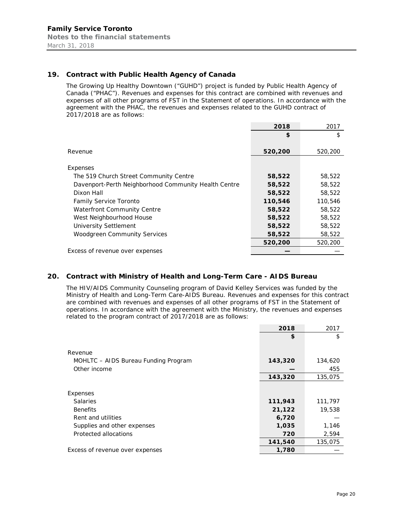#### **19. Contract with Public Health Agency of Canada**

The Growing Up Healthy Downtown ("GUHD") project is funded by Public Health Agency of Canada ("PHAC"). Revenues and expenses for this contract are combined with revenues and expenses of all other programs of FST in the Statement of operations. In accordance with the agreement with the PHAC, the revenues and expenses related to the GUHD contract of 2017/2018 are as follows:

|                                                      | 2018    | 2017    |
|------------------------------------------------------|---------|---------|
|                                                      | \$      | \$      |
|                                                      |         |         |
| Revenue                                              | 520,200 | 520,200 |
|                                                      |         |         |
| Expenses                                             |         |         |
| The 519 Church Street Community Centre               | 58,522  | 58,522  |
| Davenport-Perth Neighborhood Community Health Centre | 58,522  | 58,522  |
| Dixon Hall                                           | 58,522  | 58,522  |
| <b>Family Service Toronto</b>                        | 110,546 | 110,546 |
| <b>Waterfront Community Centre</b>                   | 58,522  | 58,522  |
| West Neighbourhood House                             | 58,522  | 58,522  |
| <b>University Settlement</b>                         | 58,522  | 58,522  |
| <b>Woodgreen Community Services</b>                  | 58,522  | 58,522  |
|                                                      | 520,200 | 520,200 |
| Excess of revenue over expenses                      |         |         |
|                                                      |         |         |

#### **20. Contract with Ministry of Health and Long-Term Care - AIDS Bureau**

The HIV/AIDS Community Counseling program of David Kelley Services was funded by the Ministry of Health and Long-Term Care-AIDS Bureau. Revenues and expenses for this contract are combined with revenues and expenses of all other programs of FST in the Statement of operations. In accordance with the agreement with the Ministry, the revenues and expenses related to the program contract of 2017/2018 are as follows:

|                                      | 2018    | 2017    |
|--------------------------------------|---------|---------|
|                                      | \$      | \$      |
|                                      |         |         |
| Revenue                              |         |         |
| MOHLTC - AIDS Bureau Funding Program | 143,320 | 134,620 |
| Other income                         |         | 455     |
|                                      | 143,320 | 135,075 |
|                                      |         |         |
| Expenses                             |         |         |
| <b>Salaries</b>                      | 111,943 | 111,797 |
| <b>Benefits</b>                      | 21,122  | 19,538  |
| Rent and utilities                   | 6,720   |         |
| Supplies and other expenses          | 1,035   | 1,146   |
| Protected allocations                | 720     | 2,594   |
|                                      | 141,540 | 135,075 |
| Excess of revenue over expenses      | 1,780   |         |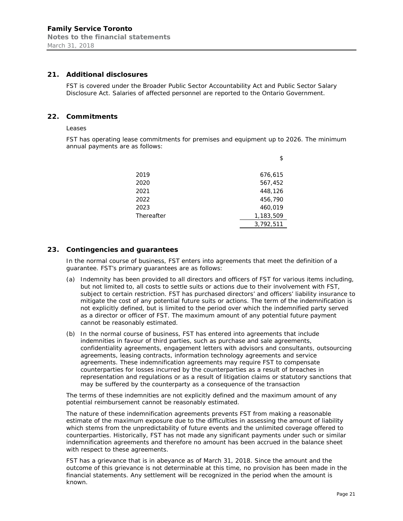#### **21. Additional disclosures**

FST is covered under the Broader Public Sector Accountability Act and Public Sector Salary Disclosure Act. Salaries of affected personnel are reported to the Ontario Government.

#### **22. Commitments**

#### *Leases*

FST has operating lease commitments for premises and equipment up to 2026. The minimum annual payments are as follows:

\$

|            | J         |
|------------|-----------|
|            |           |
| 2019       | 676,615   |
| 2020       | 567,452   |
| 2021       | 448,126   |
| 2022       | 456,790   |
| 2023       | 460,019   |
| Thereafter | 1,183,509 |
|            | 3,792,511 |
|            |           |

#### **23. Contingencies and guarantees**

In the normal course of business, FST enters into agreements that meet the definition of a guarantee. FST's primary guarantees are as follows:

- (a) Indemnity has been provided to all directors and officers of FST for various items including, but not limited to, all costs to settle suits or actions due to their involvement with FST, subject to certain restriction. FST has purchased directors' and officers' liability insurance to mitigate the cost of any potential future suits or actions. The term of the indemnification is not explicitly defined, but is limited to the period over which the indemnified party served as a director or officer of FST. The maximum amount of any potential future payment cannot be reasonably estimated.
- (b) In the normal course of business, FST has entered into agreements that include indemnities in favour of third parties, such as purchase and sale agreements, confidentiality agreements, engagement letters with advisors and consultants, outsourcing agreements, leasing contracts, information technology agreements and service agreements. These indemnification agreements may require FST to compensate counterparties for losses incurred by the counterparties as a result of breaches in representation and regulations or as a result of litigation claims or statutory sanctions that may be suffered by the counterparty as a consequence of the transaction

The terms of these indemnities are not explicitly defined and the maximum amount of any potential reimbursement cannot be reasonably estimated.

The nature of these indemnification agreements prevents FST from making a reasonable estimate of the maximum exposure due to the difficulties in assessing the amount of liability which stems from the unpredictability of future events and the unlimited coverage offered to counterparties. Historically, FST has not made any significant payments under such or similar indemnification agreements and therefore no amount has been accrued in the balance sheet with respect to these agreements.

FST has a grievance that is in abeyance as of March 31, 2018. Since the amount and the outcome of this grievance is not determinable at this time, no provision has been made in the financial statements. Any settlement will be recognized in the period when the amount is known.